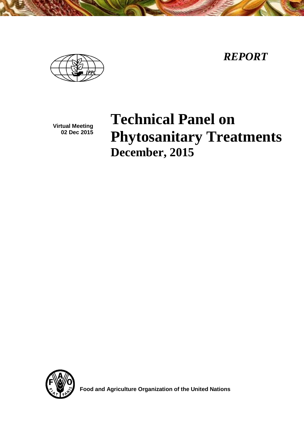*REPORT*

**Virtual Meeting 02 Dec 2015**

# **Technical Panel on Phytosanitary Treatments December, 2015**



 **Food and Agriculture Organization of the United Nations**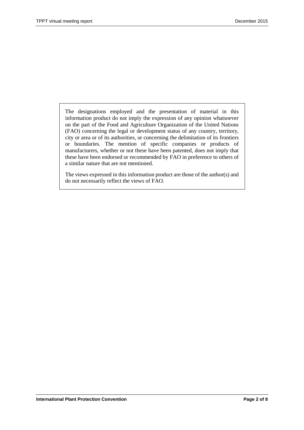The designations employed and the presentation of material in this information product do not imply the expression of any opinion whatsoever on the part of the Food and Agriculture Organization of the United Nations (FAO) concerning the legal or development status of any country, territory, city or area or of its authorities, or concerning the delimitation of its frontiers or boundaries. The mention of specific companies or products of manufacturers, whether or not these have been patented, does not imply that these have been endorsed or recommended by FAO in preference to others of a similar nature that are not mentioned.

The views expressed in this information product are those of the author(s) and do not necessarily reflect the views of FAO.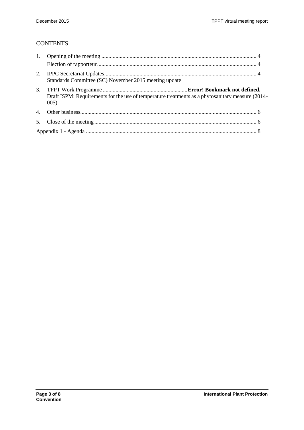# **CONTENTS**

|                | Standards Committee (SC) November 2015 meeting update                                                    |  |  |
|----------------|----------------------------------------------------------------------------------------------------------|--|--|
| 3.             | Draft ISPM: Requirements for the use of temperature treatments as a phytosanitary measure (2014-<br>005) |  |  |
| $\mathbf{4}$ . |                                                                                                          |  |  |
|                |                                                                                                          |  |  |
|                |                                                                                                          |  |  |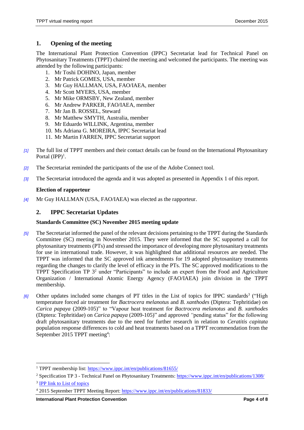#### <span id="page-3-0"></span>**1. Opening of the meeting**

The International Plant Protection Convention (IPPC) Secretariat lead for Technical Panel on Phytosanitary Treatments (TPPT) chaired the meeting and welcomed the participants. The meeting was attended by the following participants:

- 1. Mr Toshi DOHINO, Japan, member
- 2. Mr Patrick GOMES, USA, member
- 3. Mr Guy HALLMAN, USA, FAO/IAEA, member
- 4. Mr Scott MYERS, USA, member
- 5. Mr Mike ORMSBY, New Zealand, member
- 6. Mr Andrew PARKER, FAO/IAEA, member
- 7. Mr Jan B. ROSSEL, Steward
- 8. Mr Matthew SMYTH, Australia, member
- 9. Mr Eduardo WILLINK, Argentina, member
- 10. Ms Adriana G. MOREIRA, IPPC Secretariat lead
- 11. Mr Martin FARREN, IPPC Secretariat support
- *[1]* The full list of TPPT members and their contact details can be found on the International Phytosanitary Portal  $(IPP)^1$ .
- *[2]* The Secretariat reminded the participants of the use of the Adobe Connect tool.
- *[3]* The Secretariat introduced the agenda and it was adopted as presented in Appendix 1 of this report.

#### <span id="page-3-1"></span>**Election of rapporteur**

*[4]* Mr Guy HALLMAN (USA, FAO/IAEA) was elected as the rapporteur.

#### <span id="page-3-2"></span>**2. IPPC Secretariat Updates**

#### **Standards Committee (SC) November 2015 meeting update**

- *[5]* The Secretariat informed the panel of the relevant decisions pertaining to the TPPT during the Standards Committee (SC) meeting in November 2015. They were informed that the SC supported a call for phytosanitary treatments (PTs) and stressed the importance of developing more phytosanitary treatments for use in international trade. However, it was highlighted that additional resources are needed. The TPPT was informed that the SC approved ink amendments for 19 adopted phytosanitary treatments regarding the changes to clarify the level of efficacy in the PTs. The SC approved modifications to the TPPT Specification TP 3<sup>2</sup> under "Participants" to include an expert from the Food and Agriculture Organization / International Atomic Energy Agency (FAO/IAEA) join division in the TPPT membership.
- [6] Other updates included some changes of PT titles in the List of topics for IPPC standards<sup>3</sup> ("High temperature forced air treatment for *Bactrocera melanotus* and *B. xanthodes* (Diptera: Tephritidae) on *Carica papaya* (2009-105)" to "Vapour heat treatment for *Bactrocera melanotus* and *B. xanthodes* (Diptera: Tephritidae) on *Carica papaya* (2009-105)" and approved *"*pending status" for the following draft phytosanitary treatments due to the need for further research in relation to *Ceratitis capitata*  population response differences to cold and heat treatments based on a TPPT recommendation from the September 2015 TPPT meeting<sup>4</sup>:

 $\overline{a}$ 

<sup>1</sup> TPPT membership list: https://www.ippc.int/en/publications/81655/

<sup>2</sup> Specification TP 3 - Technical Panel on Phytosanitary Treatments:<https://www.ippc.int/en/publications/1308/> <sup>3</sup> [IPP link to List of topics](https://www.ippc.int/publications/list-topics-ippc-standards)

<sup>4</sup> 2015 September TPPT Meeting Report[: https://www.ippc.int/en/publications/81833/](https://www.ippc.int/en/publications/81833/)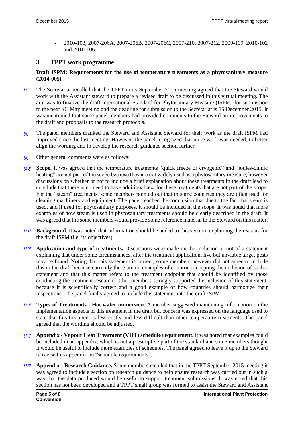- 2010-103, 2007-206A, 2007-206B, 2007-206C, 2007-210, 2007-212, 2009-109, 2010-102 and 2010-106.

#### **3. TPPT work programme**

#### **Draft ISPM: Requirements for the use of temperature treatments as a phytosanitary measure (2014-005)**

- *[7]* The Secretariat recalled that the TPPT in its September 2015 meeting agreed that the Steward would work with the Assistant steward to prepare a revised draft to be discussed in this virtual meeting. The aim was to finalize the draft International Standard for Phytosanitary Measure (ISPM) for submission to the next SC May meeting and the deadline for submission to the Secretariat is 15 December 2015. It was mentioned that some panel members had provided comments to the Steward on improvements to the draft and proposals to the research protocols.
- *[8]* The panel members thanked the Steward and Assistant Steward for their work as the draft ISPM had improved since the last meeting. However, the panel recognized that more work was needed, to better align the wording and to develop the research guidance section further.
- *[9]* Other general comments were as follows:
- *[10]* **Scope.** It was agreed that the temperature treatments "quick freeze or cryogenic" and "joules-ohmic heating" are not part of the scope because they are not widely used as a phytosanitary measure; however discussions on whether or not to include a brief explanation about these treatments in the draft lead to conclude that there is no need to have additional text for these treatments that are not part of the scope. For the "steam" treatments, some members pointed out that in some countries they are often used for cleaning machinery and equipment. The panel reached the conclusion that due to the fact that steam is used, and if used for phytosanitary purposes, it should be included in the scope. It was noted that more examples of how steam is used in phytosanitary treatments should be clearly described in the draft. It was agreed that the some members would provide some reference material to the Steward on this matter.
- *[11]* **Background.** It was noted that information should be added to this section, explaining the reasons for the draft ISPM (i.e. its objectives).
- *[12]* **Application and type of treatments.** Discussions were made on the inclusion or not of a statement explaining that under some circumstances, after the treatment application, live but unviable target pests may be found. Noting that this statement is correct, some members however did not agree to include this in the draft because currently there are no examples of countries accepting the inclusion of such a statement and that this matter refers to the treatment endpoint that should be identified by those conducting the treatment research. Other members strongly supported the inclusion of this statement, because it is scientifically correct and a good example of how countries should harmonize their inspections. The panel finally agreed to include this statement into the draft ISPM.
- *[13]* **Types of Treatments - Hot water immersion.** A member suggested maintaining information on the implementation aspects of this treatment in the draft but concern was expressed on the language used to state that this treatment is less costly and less difficult than other temperature treatments. The panel agreed that the wording should be adjusted.
- *[14]* **Appendix - Vapour Heat Treatment (VHT) schedule requirement.** It was noted that examples could be included in an appendix, which is not a prescriptive part of the standard and some members thought it would be useful to include more examples of schedules. The panel agreed to leave it up to the Steward to revise this appendix on "schedule requirements".
- *[15]* **Appendix - Research Guidance.** Some members recalled that in the TPPT September 2015 meeting it was agreed to include a section on research guidance to help ensure research was carried out in such a way that the data produced would be useful to support treatment submissions. It was noted that this section has not been developed and a TPPT small group was formed to assist the Steward and Assistant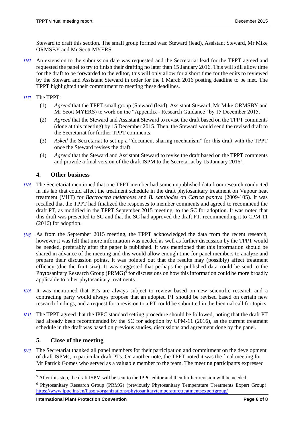Steward to draft this section. The small group formed was: Steward (lead), Assistant Steward, Mr Mike ORMSBY and Mr Scott MYERS.

*[16]* An extension to the submission date was requested and the Secretariat lead for the TPPT agreed and requested the panel to try to finish their drafting no later than 15 January 2016. This will still allow time for the draft to be forwarded to the editor, this will only allow for a short time for the edits to reviewed by the Steward and Assistant Steward in order for the 1 March 2016 posting deadline to be met. The TPPT highlighted their commitment to meeting these deadlines.

*[17]* The TPPT:

- (1) *Agreed* that the TPPT small group (Steward (lead), Assistant Steward, Mr Mike ORMSBY and Mr Scott MYERS) to work on the "Appendix - Research Guidance" by 15 December 2015.
- (2) *Agreed* that the Steward and Assistant Steward to revise the draft based on the TPPT comments (done at this meeting) by 15 December 2015. Then, the Steward would send the revised draft to the Secretariat for further TPPT comments.
- (3) *Asked* the Secretariat to set up a "document sharing mechanism" for this draft with the TPPT once the Steward revises the draft.
- (4) *Agreed* that the Steward and Assistant Steward to revise the draft based on the TPPT comments and provide a final version of the draft ISPM to the Secretariat by 15 January 2016<sup>5</sup>.

### <span id="page-5-0"></span>**4. Other business**

- *[18]* The Secretariat mentioned that one TPPT member had some unpublished data from research conducted in his lab that could affect the treatment schedule in the draft phytosanitary treatment on Vapour heat treatment (VHT) for *Bactrocera melanotus* and *B. xanthodes* on *Carica papaya* (2009-105). It was recalled that the TPPT had finalized the responses to member comments and agreed to recommend the draft PT, as modified in the TPPT September 2015 meeting, to the SC for adoption. It was noted that this draft was presented to SC and that the SC had approved the draft PT, recommending it to CPM-11 (2016) for adoption.
- *[19]* As from the September 2015 meeting, the TPPT acknowledged the data from the recent research, however it was felt that more information was needed as well as further discussion by the TPPT would be needed, preferably after the paper is published. It was mentioned that this information should be shared in advance of the meeting and this would allow enough time for panel members to analyze and prepare their discussion points. It was pointed out that the results may (possibly) affect treatment efficacy (due the fruit size). It was suggested that perhaps the published data could be send to the Phytosanitary Research Group (PRMG)<sup>6</sup> for discussions on how this information could be more broadly applicable to other phytosanitary treatments.
- *[20]* It was mentioned that PTs are always subject to review based on new scientific research and a contracting party would always propose that an adopted PT should be revised based on certain new research findings, and a request for a revision to a PT could be submitted in the biennial call for topics.
- *[21]* The TPPT agreed that the IPPC standard setting procedure should be followed, noting that the draft PT had already been recommended by the SC for adoption by CPM-11 (2016), as the current treatment schedule in the draft was based on previous studies, discussions and agreement done by the panel.

#### <span id="page-5-1"></span>**5. Close of the meeting**

l

*[22]* The Secretariat thanked all panel members for their participation and commitment on the development of draft ISPMs, in particular draft PTs. On another note, the TPPT noted it was the final meeting for Mr Patrick Gomes who served as a valuable member to the team. The meeting participants expressed

<sup>5</sup> After this step, the draft ISPM will be sent to the IPPC editor and then further revision will be needed.

<sup>6</sup> Phytosanitary Research Group (PRMG) (previously Phytosanitary Temperature Treatments Expert Group): <https://www.ippc.int/en/liason/organizations/phytosanitarytemperaturetreatmentsexpertgroup/>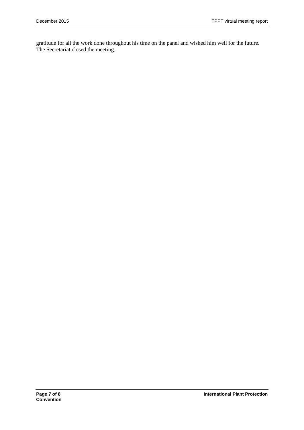gratitude for all the work done throughout his time on the panel and wished him well for the future. The Secretariat closed the meeting.